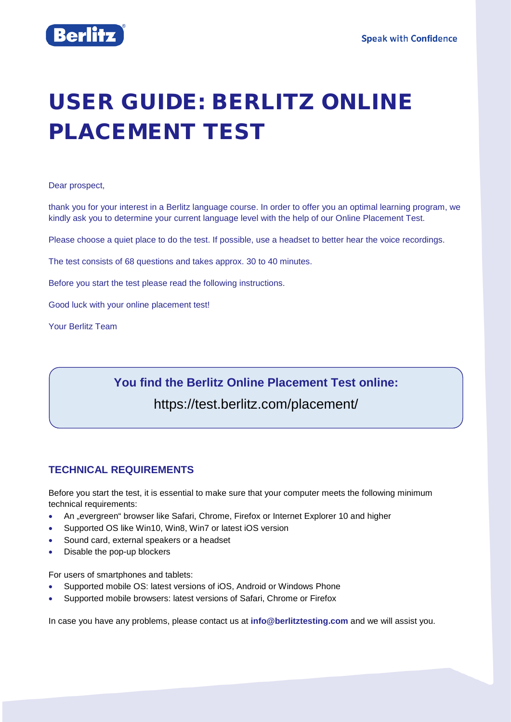

# USER GUIDE: BERLITZ ONLINE PLACEMENT TEST

#### Dear prospect,

thank you for your interest in a Berlitz language course. In order to offer you an optimal learning program, we kindly ask you to determine your current language level with the help of our Online Placement Test.

Please choose a quiet place to do the test. If possible, use a headset to better hear the voice recordings.

The test consists of 68 questions and takes approx. 30 to 40 minutes.

Before you start the test please read the following instructions.

Good luck with your online placement test!

Your Berlitz Team

# **You find the Berlitz Online Placement Test online:**  <https://test.berlitz.com/placement/>

# **TECHNICAL REQUIREMENTS**

Before you start the test, it is essential to make sure that your computer meets the following minimum technical requirements:

- An "evergreen" browser like Safari, Chrome, Firefox or Internet Explorer 10 and higher
- Supported OS like Win10, Win8, Win7 or latest iOS version
- Sound card, external speakers or a headset
- Disable the pop-up blockers

For users of smartphones and tablets:

- Supported mobile OS: latest versions of iOS, Android or Windows Phone
- Supported mobile browsers: latest versions of Safari, Chrome or Firefox

In case you have any problems, please contact us at **[info@berlitztesting.com](mailto:info@berlitztesting.com)** and we will assist you.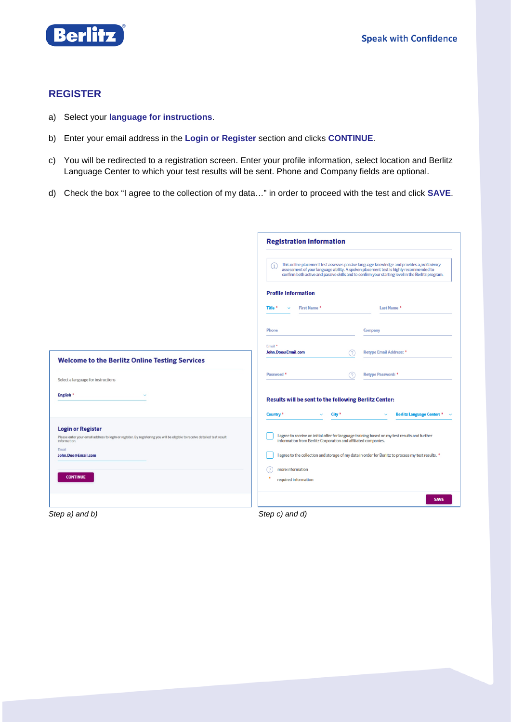

### **REGISTER**

- a) Select your **language for instructions**.
- b) Enter your email address in the **Login or Register** section and clicks **CONTINUE**.
- c) You will be redirected to a registration screen. Enter your profile information, select location and Berlitz Language Center to which your test results will be sent. Phone and Company fields are optional.
- d) Check the box "I agree to the collection of my data…" in order to proceed with the test and click **SAVE**.

|                                                                                                                                                                                                | <b>Registration Information</b>                                                                            |    |                                                                                                                                                                                                                                                                                         |  |  |  |
|------------------------------------------------------------------------------------------------------------------------------------------------------------------------------------------------|------------------------------------------------------------------------------------------------------------|----|-----------------------------------------------------------------------------------------------------------------------------------------------------------------------------------------------------------------------------------------------------------------------------------------|--|--|--|
|                                                                                                                                                                                                | G.                                                                                                         |    | This online placement test assesses passive language knowledge and provides a preliminary<br>assessment of your language ability. A spoken placement test is highly recommended to<br>confirm both active and passive skills and to confirm your starting level in the Berlitz program. |  |  |  |
|                                                                                                                                                                                                | <b>Profile Information</b>                                                                                 |    |                                                                                                                                                                                                                                                                                         |  |  |  |
|                                                                                                                                                                                                | First Name *<br>Title *<br>$\checkmark$                                                                    |    | Last Name *                                                                                                                                                                                                                                                                             |  |  |  |
|                                                                                                                                                                                                | <b>Phone</b>                                                                                               |    | Company                                                                                                                                                                                                                                                                                 |  |  |  |
| <b>Welcome to the Berlitz Online Testing Services</b>                                                                                                                                          | Email *<br>John.Doe@Email.com                                                                              | (? | Retype Email Address: *                                                                                                                                                                                                                                                                 |  |  |  |
| Select a language for instructions                                                                                                                                                             | Password <sup>*</sup>                                                                                      | 9  | Retype Password: *                                                                                                                                                                                                                                                                      |  |  |  |
| $\checkmark$                                                                                                                                                                                   | Results will be sent to the following Berlitz Center:                                                      |    |                                                                                                                                                                                                                                                                                         |  |  |  |
|                                                                                                                                                                                                | Country <sup>*</sup><br>City <sup>*</sup><br>v                                                             |    | <b>Berlitz Language Center: *</b>                                                                                                                                                                                                                                                       |  |  |  |
| <b>Login or Register</b><br>Please enter your email address to login or register. By registering you will be eligible to receive detailed test result<br>John.Doe@Email.com<br><b>CONTINUE</b> | information from Berlitz Corporation and affiliated companies.<br>more information<br>required information |    | I agree to receive an initial offer for language training based on my test results and further<br>I agree to the collection and storage of my data in order for Berlitz to process my test results. *                                                                                   |  |  |  |
|                                                                                                                                                                                                |                                                                                                            |    | <b>SAVE</b>                                                                                                                                                                                                                                                                             |  |  |  |
| Step a) and b)                                                                                                                                                                                 | Step c) and d)                                                                                             |    |                                                                                                                                                                                                                                                                                         |  |  |  |